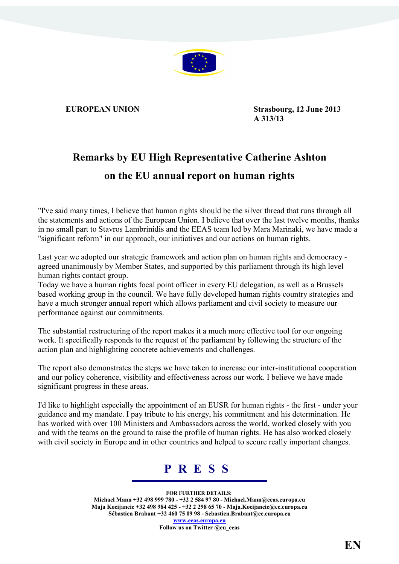

**EUROPEAN UNION** Strasbourg, 12 June 2013 **A 313/13** 

## **Remarks by EU High Representative Catherine Ashton on the EU annual report on human rights**

"I've said many times, I believe that human rights should be the silver thread that runs through all the statements and actions of the European Union. I believe that over the last twelve months, thanks in no small part to Stavros Lambrinidis and the EEAS team led by Mara Marinaki, we have made a "significant reform" in our approach, our initiatives and our actions on human rights.

Last year we adopted our strategic framework and action plan on human rights and democracy agreed unanimously by Member States, and supported by this parliament through its high level human rights contact group.

Today we have a human rights focal point officer in every EU delegation, as well as a Brussels based working group in the council. We have fully developed human rights country strategies and have a much stronger annual report which allows parliament and civil society to measure our performance against our commitments.

The substantial restructuring of the report makes it a much more effective tool for our ongoing work. It specifically responds to the request of the parliament by following the structure of the action plan and highlighting concrete achievements and challenges.

The report also demonstrates the steps we have taken to increase our inter-institutional cooperation and our policy coherence, visibility and effectiveness across our work. I believe we have made significant progress in these areas.

I'd like to highlight especially the appointment of an EUSR for human rights - the first - under your guidance and my mandate. I pay tribute to his energy, his commitment and his determination. He has worked with over 100 Ministers and Ambassadors across the world, worked closely with you and with the teams on the ground to raise the profile of human rights. He has also worked closely with civil society in Europe and in other countries and helped to secure really important changes.

## **P R E S S**

**FOR FURTHER DETAILS: Michael Mann +32 498 999 780 - +32 2 584 97 80 - Michael.Mann@eeas.europa.eu Maja Kocijancic +32 498 984 425 - +32 2 298 65 70 - Maja.Kocijancic@ec.europa.eu Sébastien Brabant +32 460 75 09 98 - Sebastien.Brabant@ec.europa.eu [www.eeas.europa.eu](http://www.eeas.europa.eu/)**

**Follow us on Twitter @eu\_eeas**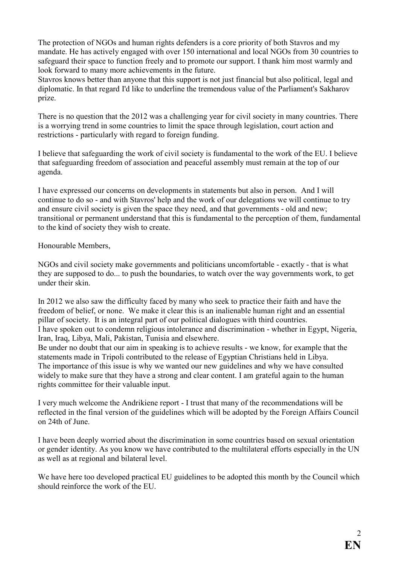The protection of NGOs and human rights defenders is a core priority of both Stavros and my mandate. He has actively engaged with over 150 international and local NGOs from 30 countries to safeguard their space to function freely and to promote our support. I thank him most warmly and look forward to many more achievements in the future.

Stavros knows better than anyone that this support is not just financial but also political, legal and diplomatic. In that regard I'd like to underline the tremendous value of the Parliament's Sakharov prize.

There is no question that the 2012 was a challenging year for civil society in many countries. There is a worrying trend in some countries to limit the space through legislation, court action and restrictions - particularly with regard to foreign funding.

I believe that safeguarding the work of civil society is fundamental to the work of the EU. I believe that safeguarding freedom of association and peaceful assembly must remain at the top of our agenda.

I have expressed our concerns on developments in statements but also in person. And I will continue to do so - and with Stavros' help and the work of our delegations we will continue to try and ensure civil society is given the space they need, and that governments - old and new; transitional or permanent understand that this is fundamental to the perception of them, fundamental to the kind of society they wish to create.

Honourable Members,

NGOs and civil society make governments and politicians uncomfortable - exactly - that is what they are supposed to do... to push the boundaries, to watch over the way governments work, to get under their skin.

In 2012 we also saw the difficulty faced by many who seek to practice their faith and have the freedom of belief, or none. We make it clear this is an inalienable human right and an essential pillar of society. It is an integral part of our political dialogues with third countries. I have spoken out to condemn religious intolerance and discrimination - whether in Egypt, Nigeria, Iran, Iraq, Libya, Mali, Pakistan, Tunisia and elsewhere.

Be under no doubt that our aim in speaking is to achieve results - we know, for example that the statements made in Tripoli contributed to the release of Egyptian Christians held in Libya. The importance of this issue is why we wanted our new guidelines and why we have consulted widely to make sure that they have a strong and clear content. I am grateful again to the human rights committee for their valuable input.

I very much welcome the Andrikiene report - I trust that many of the recommendations will be reflected in the final version of the guidelines which will be adopted by the Foreign Affairs Council on 24th of June.

I have been deeply worried about the discrimination in some countries based on sexual orientation or gender identity. As you know we have contributed to the multilateral efforts especially in the UN as well as at regional and bilateral level.

We have here too developed practical EU guidelines to be adopted this month by the Council which should reinforce the work of the EU.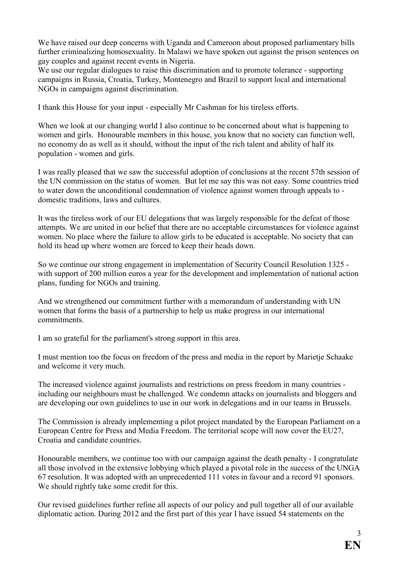We have raised our deep concerns with Uganda and Cameroon about proposed parliamentary bills further criminalizing homosexuality. In Malawi we have spoken out against the prison sentences on gay couples and against recent events in Nigeria.

We use our regular dialogues to raise this discrimination and to promote tolerance - supporting campaigns in Russia, Croatia, Turkey, Montenegro and Brazil to support local and international NGOs in campaigns against discrimination.

I thank this House for your input - especially Mr Cashman for his tireless efforts.

When we look at our changing world I also continue to be concerned about what is happening to women and girls. Honourable members in this house, you know that no society can function well, no economy do as well as it should, without the input of the rich talent and ability of half its population - women and girls.

I was really pleased that we saw the successful adoption of conclusions at the recent 57th session of the UN commission on the status of women. But let me say this was not easy. Some countries tried to water down the unconditional condemnation of violence against women through appeals to domestic traditions, laws and cultures.

It was the tireless work of our EU delegations that was largely responsible for the defeat of those attempts. We are united in our belief that there are no acceptable circumstances for violence against women. No place where the failure to allow girls to be educated is acceptable. No society that can hold its head up where women are forced to keep their heads down.

So we continue our strong engagement in implementation of Security Council Resolution 1325 with support of 200 million euros a year for the development and implementation of national action plans, funding for NGOs and training.

And we strengthened our commitment further with a memorandum of understanding with UN women that forms the basis of a partnership to help us make progress in our international commitments.

I am so grateful for the parliament's strong support in this area.

I must mention too the focus on freedom of the press and media in the report by Marietje Schaake and welcome it very much.

The increased violence against journalists and restrictions on press freedom in many countries including our neighbours must be challenged. We condemn attacks on journalists and bloggers and are developing our own guidelines to use in our work in delegations and in our teams in Brussels.

The Commission is already implementing a pilot project mandated by the European Parliament on a European Centre for Press and Media Freedom. The territorial scope will now cover the EU27, Croatia and candidate countries.

Honourable members, we continue too with our campaign against the death penalty - I congratulate all those involved in the extensive lobbying which played a pivotal role in the success of the UNGA 67 resolution. It was adopted with an unprecedented 111 votes in favour and a record 91 sponsors. We should rightly take some credit for this.

Our revised guidelines further refine all aspects of our policy and pull together all of our available diplomatic action. During 2012 and the first part of this year I have issued 54 statements on the